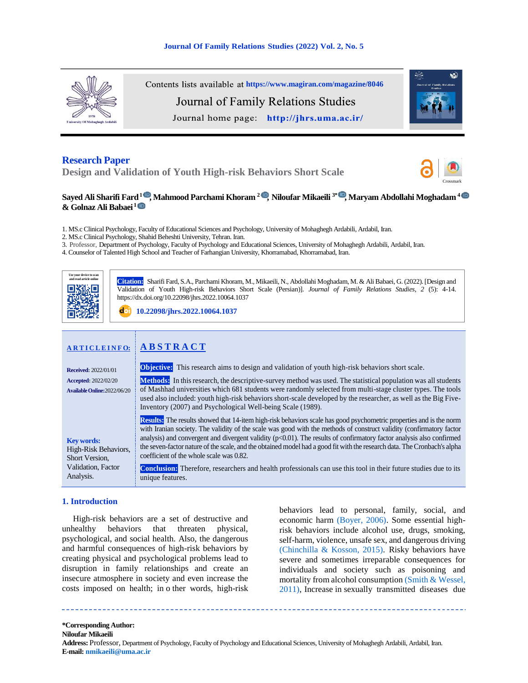

Contents lists available at <https://www.magiran.com/magazine/8046> Journal of Family Relations Studies

Journal home page: http://jhrs.uma.ac.ir/



# **Research Paper**

**Design and Validation of Youth High-risk Behaviors Short Scale** 



# **Sayed Ali Sharifi Fard<sup>1</sup> [,](https://www.orcid.org/0000000161527971) Mahmood Parchami Khoram <sup>2</sup>  [,](https://www.orcid.org/0000000156332926) Niloufar Mikaeili 3\*  [,](https://www.orcid.org/0000000155105983) Maryam Abdollahi Moghadam <sup>4</sup>  & Golnaz Ali Babaei <sup>1</sup>**

1. MS.c Clinical Psychology, Faculty of Educational Sciences and Psychology, University of Mohaghegh Ardabili, Ardabil, Iran.

2. MS.c Clinical Psychology, Shahid Beheshti University, Tehran. Iran.

3. Professor, Department of Psychology, Faculty of Psychology and Educational Sciences, University of Mohaghegh Ardabili, Ardabil, Iran.

4. Counselor of Talented High School and Teacher of Farhangian University, Khorramabad, Khorramabad, Iran.



**Citation::** Sharifi Fard, S.A., Parchami Khoram, M., Mikaeili, N., Abdollahi Moghadam, M. & Ali Babaei, G. (2022). [Design and Validation of Youth High-risk Behaviors Short Scale (Persian)]. *Journal of Family Relations Studies, 2* (5): 4-14. https://dx.doi.org/10.22098/jhrs.2022.10064.1037

**[10.22098/jhrs.2022.10064.1037](https://dx.doi.org/10.22098/jhrs.2022.10064.1037)**

| <b>ARTICLEINFO:</b>                                                                            | <b>ABSTRACT</b>                                                                                                                                                                                                                                                                                                                                                                                                                                                                                                                                                                                                                                                                                      |
|------------------------------------------------------------------------------------------------|------------------------------------------------------------------------------------------------------------------------------------------------------------------------------------------------------------------------------------------------------------------------------------------------------------------------------------------------------------------------------------------------------------------------------------------------------------------------------------------------------------------------------------------------------------------------------------------------------------------------------------------------------------------------------------------------------|
| <b>Received: 2022/01/01</b>                                                                    | <b>Objective:</b> This research aims to design and validation of youth high-risk behaviors short scale.                                                                                                                                                                                                                                                                                                                                                                                                                                                                                                                                                                                              |
| <b>Accepted: 2022/02/20</b><br>Available Online: 2022/06/20                                    | <b>Methods:</b> In this research, the descriptive-survey method was used. The statistical population was all students<br>of Mashhad universities which 681 students were randomly selected from multi-stage cluster types. The tools<br>used also included: youth high-risk behaviors short-scale developed by the researcher, as well as the Big Five-<br>Inventory (2007) and Psychological Well-being Scale (1989).                                                                                                                                                                                                                                                                               |
| <b>Key words:</b><br>High-Risk Behaviors,<br>Short Version.<br>Validation, Factor<br>Analysis. | <b>Results:</b> The results showed that 14-item high-risk behaviors scale has good psychometric properties and is the norm<br>with Iranian society. The validity of the scale was good with the methods of construct validity (confirmatory factor<br>analysis) and convergent and divergent validity $(p<0.01)$ . The results of confirmatory factor analysis also confirmed<br>the seven-factor nature of the scale, and the obtained model had a good fit with the research data. The Cronbach's alpha<br>coefficient of the whole scale was 0.82.<br><b>Conclusion:</b> Therefore, researchers and health professionals can use this tool in their future studies due to its<br>unique features. |

# **1. Introduction**

 High-risk behaviors are a set of destructive and unhealthy behaviors that threaten physical, psychological, and social health. Also, the dangerous and harmful consequences of high-risk behaviors by creating physical and psychological problems lead to disruption in family relationships and create an insecure atmosphere in society and even increase the costs imposed on health; in o ther words, high-risk <span id="page-0-2"></span><span id="page-0-1"></span><span id="page-0-0"></span>behaviors lead to personal, family, social, and economic harm [\(Boyer, 2006\).](#page-8-0) Some essential highrisk behaviors include alcohol use, drugs, smoking, self-harm, violence, unsafe sex, and dangerous driving [\(Chinchilla & Kosson, 2015\).](#page-9-0) Risky behaviors have severe and sometimes irreparable consequences for individuals and society such as poisoning and mortality from alcohol consumptio[n \(Smith & Wessel,](#page-10-0)  [2011\),](#page-10-0) Increase in sexually transmitted diseases due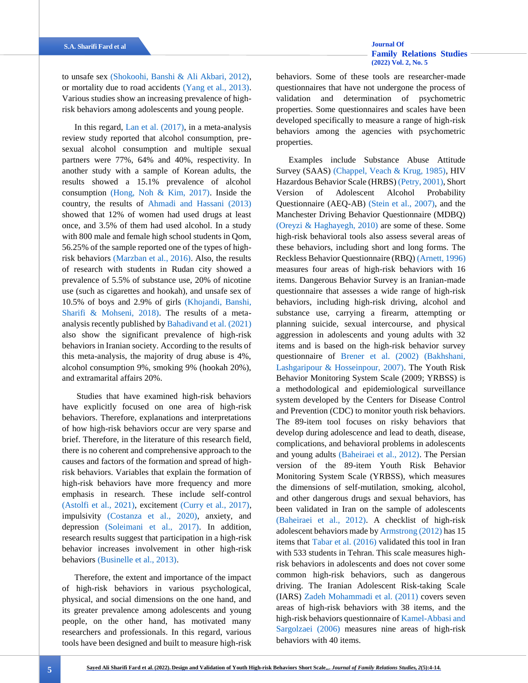<span id="page-1-20"></span>to unsafe sex [\(Shokoohi, Banshi & Ali Akbari, 2012\),](#page-10-1) or mortality due to road accidents [\(Yang et al., 2013\).](#page-10-2) Various studies show an increasing prevalence of highrisk behaviors among adolescents and young people.

<span id="page-1-16"></span><span id="page-1-15"></span><span id="page-1-12"></span><span id="page-1-0"></span>In this regard, [Lan et al. \(2017\),](#page-9-1) in a meta-analysis review study reported that alcohol consumption, presexual alcohol consumption and multiple sexual partners were 77%, 64% and 40%, respectivity. In another study with a sample of Korean adults, the results showed a 15.1% prevalence of alcohol consumption [\(Hong, Noh & Kim, 2017\).](#page-9-2) Inside the country, the results of [Ahmadi and Hassani \(2013\)](#page-8-1) showed that 12% of women had used drugs at least once, and 3.5% of them had used alcohol. In a study with 800 male and female high school students in Qom, 56.25% of the sample reported one of the types of highrisk behaviors [\(Marzban et al., 2016\).](#page-9-3) Also, the results of research with students in Rudan city showed a prevalence of 5.5% of substance use, 20% of nicotine use (such as cigarettes and hookah), and unsafe sex of 10.5% of boys and 2.9% of girls [\(Khojandi, Banshi,](#page-9-4)  [Sharifi & Mohseni, 2018\).](#page-9-4) The results of a metaanalysis recently published by [Bahadivand et al. \(2021\)](#page-8-2) also show the significant prevalence of high-risk behaviors in Iranian society. According to the results of this meta-analysis, the majority of drug abuse is 4%, alcohol consumption 9%, smoking 9% (hookah 20%), and extramarital affairs 20%.

<span id="page-1-14"></span><span id="page-1-5"></span><span id="page-1-4"></span>Studies that have examined high-risk behaviors have explicitly focused on one area of high-risk behaviors. Therefore, explanations and interpretations of how high-risk behaviors occur are very sparse and brief. Therefore, in the literature of this research field, there is no coherent and comprehensive approach to the causes and factors of the formation and spread of highrisk behaviors. Variables that explain the formation of high-risk behaviors have more frequency and more emphasis in research. These include self-control [\(Astolfi et al., 2021\),](#page-8-3) excitement [\(Curry et al., 2017\),](#page-9-5) impulsivity [\(Costanza et al., 2020\),](#page-9-6) anxiety, and depression [\(Soleimani et al., 2017\).](#page-10-3) In addition, research results suggest that participation in a high-risk behavior increases involvement in other high-risk behaviors [\(Businelle et al., 2013\).](#page-8-4)

<span id="page-1-24"></span><span id="page-1-21"></span><span id="page-1-19"></span><span id="page-1-13"></span><span id="page-1-11"></span><span id="page-1-10"></span><span id="page-1-8"></span><span id="page-1-3"></span><span id="page-1-1"></span>Therefore, the extent and importance of the impact of high-risk behaviors in various psychological, physical, and social dimensions on the one hand, and its greater prevalence among adolescents and young people, on the other hand, has motivated many researchers and professionals. In this regard, various tools have been designed and built to measure high-risk

<span id="page-1-23"></span>behaviors. Some of these tools are researcher-made questionnaires that have not undergone the process of validation and determination of psychometric properties. Some questionnaires and scales have been developed specifically to measure a range of high-risk behaviors among the agencies with psychometric properties.

<span id="page-1-22"></span><span id="page-1-18"></span><span id="page-1-17"></span><span id="page-1-9"></span><span id="page-1-7"></span><span id="page-1-6"></span><span id="page-1-2"></span>Examples include Substance Abuse Attitude Survey (SAAS) [\(Chappel, Veach & Krug, 1985\),](#page-8-5) HIV Hazardous Behavior Scale (HRBS) [\(Petry, 2001\),](#page-10-4) Short Version of Adolescent Alcohol Probability Questionnaire (AEQ-AB) [\(Stein et al., 2007\),](#page-10-5) and the Manchester Driving Behavior Questionnaire (MDBQ) [\(Oreyzi & Haghayegh, 2010\)](#page-9-7) are some of these. Some high-risk behavioral tools also assess several areas of these behaviors, including short and long forms. The Reckless Behavior Questionnaire (RBQ[\) \(Arnett, 1996\)](#page-8-6) measures four areas of high-risk behaviors with 16 items. Dangerous Behavior Survey is an Iranian-made questionnaire that assesses a wide range of high-risk behaviors, including high-risk driving, alcohol and substance use, carrying a firearm, attempting or planning suicide, sexual intercourse, and physical aggression in adolescents and young adults with 32 items and is based on the high-risk behavior survey questionnaire of [Brener et al. \(2002\)](#page-8-7) [\(Bakhshani,](#page-8-8)  [Lashgaripour & Hosseinpour, 2007\).](#page-8-8) The Youth Risk Behavior Monitoring System Scale (2009; YRBSS) is a methodological and epidemiological surveillance system developed by the Centers for Disease Control and Prevention (CDC) to monitor youth risk behaviors. The 89-item tool focuses on risky behaviors that develop during adolescence and lead to death, disease, complications, and behavioral problems in adolescents and young adults [\(Baheiraei et al., 2012\).](#page-8-9) The Persian version of the 89-item Youth Risk Behavior Monitoring System Scale (YRBSS), which measures the dimensions of self-mutilation, smoking, alcohol, and other dangerous drugs and sexual behaviors, has been validated in Iran on the sample of adolescents [\(Baheiraei et al., 2012\).](#page-8-9) A checklist of high-risk adolescent behaviors made b[y Armstrong \(2012\)](#page-8-10) has 15 items that [Tabar et al. \(2016\)](#page-10-6) validated this tool in Iran with 533 students in Tehran. This scale measures highrisk behaviors in adolescents and does not cover some common high-risk behaviors, such as dangerous driving. The Iranian Adolescent Risk-taking Scale (IARS) [Zadeh Mohammadi et al. \(2011\)](#page-10-7) covers seven areas of high-risk behaviors with 38 items, and the high-risk behaviors questionnaire o[f Kamel-Abbasi and](#page-9-8)  [Sargolzaei \(2006\)](#page-9-8) measures nine areas of high-risk behaviors with 40 items.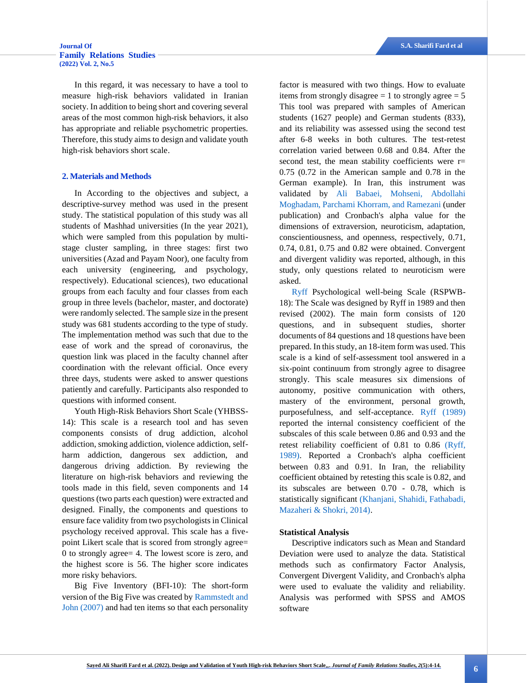In this regard, it was necessary to have a tool to measure high-risk behaviors validated in Iranian society. In addition to being short and covering several areas of the most common high-risk behaviors, it also has appropriate and reliable psychometric properties. Therefore, this study aims to design and validate youth high-risk behaviors short scale.

## **2. Materials and Methods**

In According to the objectives and subject, a descriptive-survey method was used in the present study. The statistical population of this study was all students of Mashhad universities (In the year 2021), which were sampled from this population by multistage cluster sampling, in three stages: first two universities (Azad and Payam Noor), one faculty from each university (engineering, and psychology, respectively). Educational sciences), two educational groups from each faculty and four classes from each group in three levels (bachelor, master, and doctorate) were randomly selected. The sample size in the present study was 681 students according to the type of study. The implementation method was such that due to the ease of work and the spread of coronavirus, the question link was placed in the faculty channel after coordination with the relevant official. Once every three days, students were asked to answer questions patiently and carefully. Participants also responded to questions with informed consent.

Youth High-Risk Behaviors Short Scale (YHBSS-14): This scale is a research tool and has seven components consists of drug addiction, alcohol addiction, smoking addiction, violence addiction, selfharm addiction, dangerous sex addiction, and dangerous driving addiction. By reviewing the literature on high-risk behaviors and reviewing the tools made in this field, seven components and 14 questions (two parts each question) were extracted and designed. Finally, the components and questions to ensure face validity from two psychologists in Clinical psychology received approval. This scale has a fivepoint Likert scale that is scored from strongly agree= 0 to strongly agree= 4. The lowest score is zero, and the highest score is 56. The higher score indicates more risky behaviors.

Big Five Inventory (BFI-10): The short-form version of the Big Five was created by [Rammstedt and](#page-10-8)  [John \(2007\)](#page-10-8) and had ten items so that each personality factor is measured with two things. How to evaluate items from strongly disagree  $= 1$  to strongly agree  $= 5$ This tool was prepared with samples of American students (1627 people) and German students (833), and its reliability was assessed using the second test after 6-8 weeks in both cultures. The test-retest correlation varied between 0.68 and 0.84. After the second test, the mean stability coefficients were  $r=$ 0.75 (0.72 in the American sample and 0.78 in the German example). In Iran, this instrument was validated by [Ali Babaei, Mohseni, Abdollahi](#page-8-11)  [Moghadam, Parchami Khorram, and Ramezani](#page-8-11) (under publication) and Cronbach's alpha value for the dimensions of extraversion, neuroticism, adaptation, conscientiousness, and openness, respectively, 0.71, 0.74, 0.81, 0.75 and 0.82 were obtained. Convergent and divergent validity was reported, although, in this study, only questions related to neuroticism were asked.

<span id="page-2-4"></span><span id="page-2-3"></span><span id="page-2-0"></span>[Ryff](#page-10-9) Psychological well-being Scale (RSPWB-18): The Scale was designed by Ryff in 1989 and then revised (2002). The main form consists of 120 questions, and in subsequent studies, shorter documents of 84 questions and 18 questions have been prepared. In this study, an 18-item form was used. This scale is a kind of self-assessment tool answered in a six-point continuum from strongly agree to disagree strongly. This scale measures six dimensions of autonomy, positive communication with others, mastery of the environment, personal growth, purposefulness, and self-acceptance. [Ryff \(1989\)](#page-10-10) reported the internal consistency coefficient of the subscales of this scale between 0.86 and 0.93 and the retest reliability coefficient of 0.81 to 0.86 [\(Ryff,](#page-10-10)  [1989\).](#page-10-10) Reported a Cronbach's alpha coefficient between 0.83 and 0.91. In Iran, the reliability coefficient obtained by retesting this scale is 0.82, and its subscales are between 0.70 - 0.78, which is statistically significant [\(Khanjani, Shahidi, Fathabadi,](#page-9-9)  [Mazaheri & Shokri, 2014\).](#page-9-9)

## <span id="page-2-1"></span>**Statistical Analysis**

<span id="page-2-2"></span>Descriptive indicators such as Mean and Standard Deviation were used to analyze the data. Statistical methods such as confirmatory Factor Analysis, Convergent Divergent Validity, and Cronbach's alpha were used to evaluate the validity and reliability. Analysis was performed with SPSS and AMOS software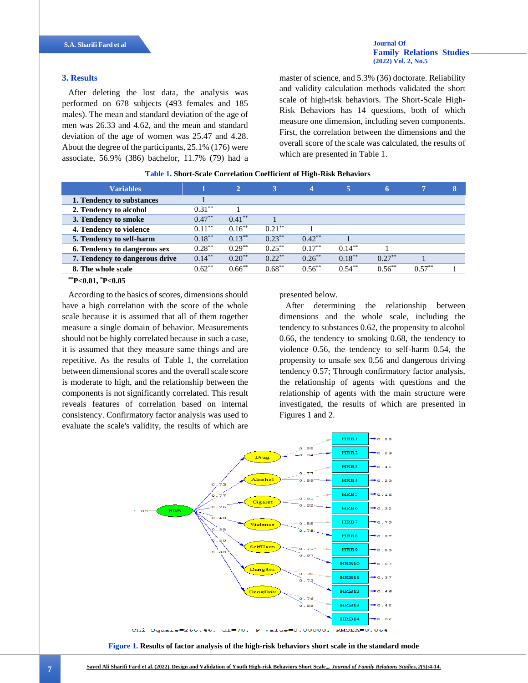## **3. Results**

After deleting the lost data, the analysis was performed on 678 subjects (493 females and 185 males). The mean and standard deviation of the age of men was 26.33 and 4.62, and the mean and standard deviation of the age of women was 25.47 and 4.28. About the degree of the participants, 25.1% (176) were associate, 56.9% (386) bachelor, 11.7% (79) had a master of science, and 5.3% (36) doctorate. Reliability and validity calculation methods validated the short scale of high-risk behaviors. The Short-Scale High-Risk Behaviors has 14 questions, both of which measure one dimension, including seven components. First, the correlation between the dimensions and the overall score of the scale was calculated, the results of which are presented in Table 1.

**[Family Relations Studies](http://jhrs.uma.ac.ir/)** 

**[\(2022\) Vol. 2, No.5](http://jhrs.uma.ac.ir/)**

|  |  |  |  |  | <b>Table 1. Short-Scale Correlation Coefficient of High-Risk Behaviors</b> |
|--|--|--|--|--|----------------------------------------------------------------------------|
|--|--|--|--|--|----------------------------------------------------------------------------|

| <b>Variables</b>               |           | $\overline{2}$ | 3         | $\overline{\mathbf{4}}$ | 5         | 6         |           | Ι8. |
|--------------------------------|-----------|----------------|-----------|-------------------------|-----------|-----------|-----------|-----|
| 1. Tendency to substances      |           |                |           |                         |           |           |           |     |
| 2. Tendency to alcohol         | $0.31***$ |                |           |                         |           |           |           |     |
| 3. Tendency to smoke           | $0.47***$ | $0.41***$      |           |                         |           |           |           |     |
| 4. Tendency to violence        | $0.11***$ | $0.16***$      | $0.21***$ |                         |           |           |           |     |
| 5. Tendency to self-harm       | $0.18***$ | $0.13***$      | $0.23***$ | $0.42***$               |           |           |           |     |
| 6. Tendency to dangerous sex   | $0.28***$ | $0.29***$      | $0.25***$ | $0.17***$               | $0.14***$ |           |           |     |
| 7. Tendency to dangerous drive | $0.14***$ | $0.20**$       | $0.22***$ | $0.26***$               | $0.18***$ | $0.27***$ |           |     |
| 8. The whole scale             | $0.62***$ | $0.66***$      | $0.68***$ | $0.56***$               | $0.54***$ | $0.56***$ | $0.57***$ |     |

**\*\*P<0.01, \*P<0.05**

According to the basics of scores, dimensions should have a high correlation with the score of the whole scale because it is assumed that all of them together measure a single domain of behavior. Measurements should not be highly correlated because in such a case, it is assumed that they measure same things and are repetitive. As the results of Table 1, the correlation between dimensional scores and the overall scale score is moderate to high, and the relationship between the components is not significantly correlated. This result reveals features of correlation based on internal consistency. Confirmatory factor analysis was used to evaluate the scale's validity, the results of which are

presented below.

After determining the relationship between dimensions and the whole scale, including the tendency to substances 0.62, the propensity to alcohol 0.66, the tendency to smoking 0.68, the tendency to violence 0.56, the tendency to self-harm 0.54, the propensity to unsafe sex 0.56 and dangerous driving tendency 0.57; Through confirmatory factor analysis, the relationship of agents with questions and the relationship of agents with the main structure were investigated, the results of which are presented in Figures 1 and 2.



**Figure 1. Results of factor analysis of the high-risk behaviors short scale in the standard mode**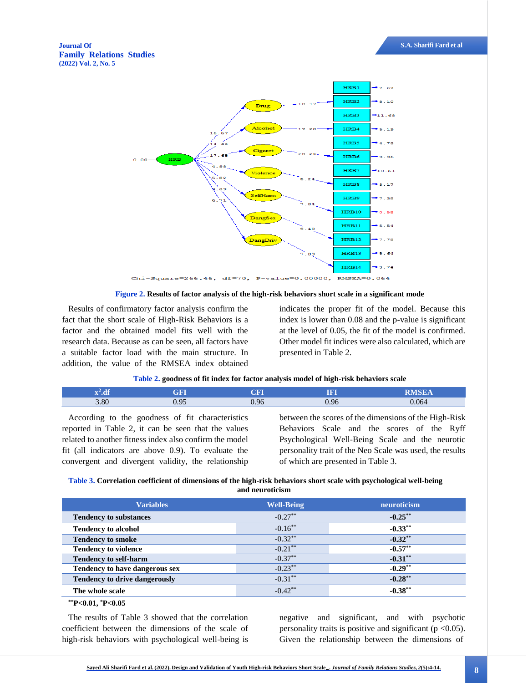



Results of confirmatory factor analysis confirm the fact that the short scale of High-Risk Behaviors is a factor and the obtained model fits well with the research data. Because as can be seen, all factors have a suitable factor load with the main structure. In addition, the value of the RMSEA index obtained

indicates the proper fit of the model. Because this index is lower than 0.08 and the p-value is significant at the level of 0.05, the fit of the model is confirmed. Other model fit indices were also calculated, which are presented in Table 2.

|      | Table 2. goodness of fit index for factor analysis model of high-risk behaviors scale |             |      |              |  |  |  |  |
|------|---------------------------------------------------------------------------------------|-------------|------|--------------|--|--|--|--|
|      | GFI                                                                                   | ${\rm CFI}$ | m    | <b>RMSEA</b> |  |  |  |  |
| 3.80 | 0.95                                                                                  | 0.96        | 0.96 | 0.064        |  |  |  |  |

|  | Table 2. goodness of fit index for factor analysis model of high-risk behaviors scale |  |
|--|---------------------------------------------------------------------------------------|--|
|  |                                                                                       |  |

According to the goodness of fit characteristics reported in Table 2, it can be seen that the values related to another fitness index also confirm the model fit (all indicators are above 0.9). To evaluate the convergent and divergent validity, the relationship

between the scores of the dimensions of the High-Risk Behaviors Scale and the scores of the Ryff Psychological Well-Being Scale and the neurotic personality trait of the Neo Scale was used, the results of which are presented in Table 3.

## **Table 3. Correlation coefficient of dimensions of the high-risk behaviors short scale with psychological well-being and neuroticism**

| <b>Variables</b>                     | <b>Well-Being</b>     | neuroticism |
|--------------------------------------|-----------------------|-------------|
| <b>Tendency to substances</b>        | $-0.27***$            | $-0.25***$  |
| <b>Tendency to alcohol</b>           | $-0.16***$            | $-0.33***$  |
| <b>Tendency to smoke</b>             | $-0.32**$             | $-0.32**$   |
| <b>Tendency to violence</b>          | $-0.21***$            | $-0.57***$  |
| <b>Tendency to self-harm</b>         | $-0.37***$            | $-0.31***$  |
| Tendency to have dangerous sex       | $-0.23***$            | $-0.29**$   |
| <b>Tendency to drive dangerously</b> | $-0.31***$            | $-0.28***$  |
| The whole scale                      | $-0.42$ <sup>**</sup> | $-0.38***$  |

## **\*\*P<0.01, \*P<0.05**

The results of Table 3 showed that the correlation coefficient between the dimensions of the scale of high-risk behaviors with psychological well-being is negative and significant, and with psychotic personality traits is positive and significant ( $p < 0.05$ ). Given the relationship between the dimensions of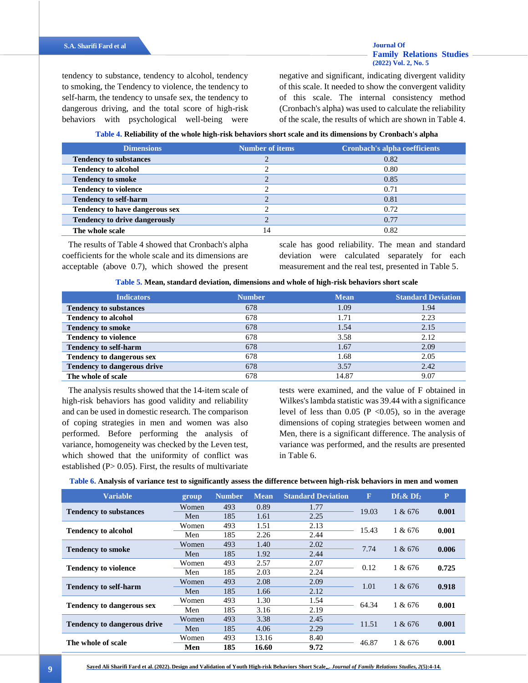tendency to substance, tendency to alcohol, tendency to smoking, the Tendency to violence, the tendency to self-harm, the tendency to unsafe sex, the tendency to dangerous driving, and the total score of high-risk behaviors with psychological well-being were negative and significant, indicating divergent validity of this scale. It needed to show the convergent validity of this scale. The internal consistency method (Cronbach's alpha) was used to calculate the reliability of the scale, the results of which are shown in Table 4.

**Table 4. Reliability of the whole high-risk behaviors short scale and its dimensions by Cronbach's alpha**

| <b>Dimensions</b>                    | <b>Number of items</b> | <b>Cronbach's alpha coefficients</b> |
|--------------------------------------|------------------------|--------------------------------------|
| <b>Tendency to substances</b>        |                        | 0.82                                 |
| <b>Tendency to alcohol</b>           |                        | 0.80                                 |
| <b>Tendency to smoke</b>             |                        | 0.85                                 |
| <b>Tendency to violence</b>          |                        | 0.71                                 |
| <b>Tendency to self-harm</b>         |                        | 0.81                                 |
| Tendency to have dangerous sex       |                        | 0.72                                 |
| <b>Tendency to drive dangerously</b> |                        | 0.77                                 |
| The whole scale                      | $\overline{4}$         | 0.82                                 |

The results of Table 4 showed that Cronbach's alpha coefficients for the whole scale and its dimensions are acceptable (above 0.7), which showed the present scale has good reliability. The mean and standard deviation were calculated separately for each measurement and the real test, presented in Table 5.

| <b>Indicators</b>                  | <b>Number</b> | <b>Mean</b> | <b>Standard Deviation</b> |
|------------------------------------|---------------|-------------|---------------------------|
| <b>Tendency to substances</b>      | 678           | 1.09        | 1.94                      |
| <b>Tendency to alcohol</b>         | 678           | 1.71        | 2.23                      |
| <b>Tendency to smoke</b>           | 678           | 1.54        | 2.15                      |
| <b>Tendency to violence</b>        | 678           | 3.58        | 2.12                      |
| <b>Tendency to self-harm</b>       | 678           | 1.67        | 2.09                      |
| Tendency to dangerous sex          | 678           | 1.68        | 2.05                      |
| <b>Tendency to dangerous drive</b> | 678           | 3.57        | 2.42                      |
| The whole of scale                 | 678           | 14.87       | 9.07                      |

The analysis results showed that the 14-item scale of high-risk behaviors has good validity and reliability and can be used in domestic research. The comparison of coping strategies in men and women was also performed. Before performing the analysis of variance, homogeneity was checked by the Leven test, which showed that the uniformity of conflict was established ( $P > 0.05$ ). First, the results of multivariate

tests were examined, and the value of F obtained in Wilkes's lambda statistic was 39.44 with a significance level of less than  $0.05$  (P <0.05), so in the average dimensions of coping strategies between women and Men, there is a significant difference. The analysis of variance was performed, and the results are presented in Table 6.

## **Table 6. Analysis of variance test to significantly assess the difference between high-risk behaviors in men and women**

| <b>Variable</b>                    | group | <b>Number</b> | <b>Mean</b> | <b>Standard Deviation</b> | $\mathbf{F}$ | $Df_1 \& Df_2$ | ${\bf P}$ |
|------------------------------------|-------|---------------|-------------|---------------------------|--------------|----------------|-----------|
| <b>Tendency to substances</b>      | Women | 493           | 0.89        | 1.77                      | 19.03        | 1 & 676        | 0.001     |
|                                    | Men   | 185           | 1.61        | 2.25                      |              |                |           |
| <b>Tendency to alcohol</b>         | Women | 493           | 1.51        | 2.13                      | 15.43        | 1 & 676        |           |
|                                    | Men   | 185           | 2.26        | 2.44                      |              |                | 0.001     |
|                                    | Women | 493           | 1.40        | 2.02                      | 7.74         | 1 & 676        | 0.006     |
| <b>Tendency to smoke</b>           | Men   | 185           | 1.92        | 2.44                      |              |                |           |
|                                    | Women | 493           | 2.57        | 2.07                      | 0.12         | 1 & 676        | 0.725     |
| <b>Tendency to violence</b>        | Men   | 185           | 2.03        | 2.24                      |              |                |           |
| <b>Tendency to self-harm</b>       | Women | 493           | 2.08        | 2.09                      | 1.01         | 1 & 676        | 0.918     |
|                                    | Men   | 185           | 1.66        | 2.12                      |              |                |           |
|                                    | Women | 493           | 1.30        | 1.54                      |              |                | 0.001     |
| <b>Tendency to dangerous sex</b>   | Men   | 185           | 3.16        | 2.19                      | 64.34        | 1 & 676        |           |
|                                    | Women | 493           | 3.38        | 2.45                      | 11.51        |                | 0.001     |
| <b>Tendency to dangerous drive</b> | Men   | 185           | 4.06        | 2.29                      |              | 1 & 676        |           |
|                                    | Women | 493           | 13.16       | 8.40                      | 46.87        | 1 & 676        | 0.001     |
| The whole of scale                 | Men   | 185           | 16.60       | 9.72                      |              |                |           |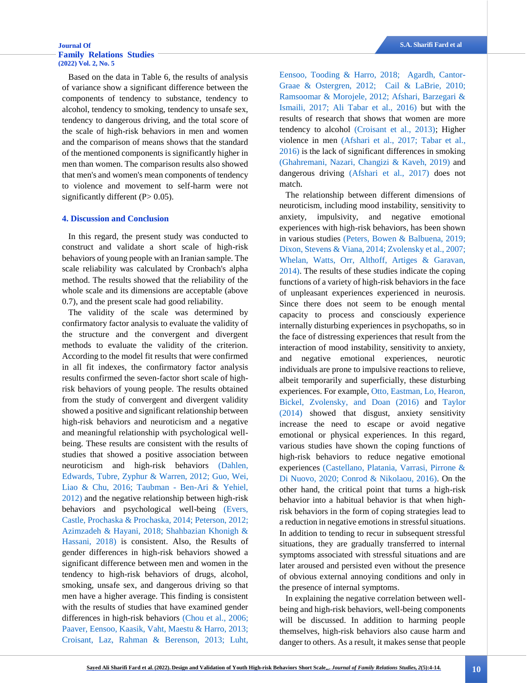## **[Journal Of](http://jhrs.uma.ac.ir/) S.A. Sharifi Fard et al [Family Relations Studies](http://jhrs.uma.ac.ir/)  [\(2022\) Vol. 2, No. 5](http://jhrs.uma.ac.ir/)**

Based on the data in Table 6, the results of analysis of variance show a significant difference between the components of tendency to substance, tendency to alcohol, tendency to smoking, tendency to unsafe sex, tendency to dangerous driving, and the total score of the scale of high-risk behaviors in men and women and the comparison of means shows that the standard of the mentioned components is significantly higher in men than women. The comparison results also showed that men's and women's mean components of tendency to violence and movement to self-harm were not significantly different  $(P> 0.05)$ .

## **4. Discussion and Conclusion**

In this regard, the present study was conducted to construct and validate a short scale of high-risk behaviors of young people with an Iranian sample. The scale reliability was calculated by Cronbach's alpha method. The results showed that the reliability of the whole scale and its dimensions are acceptable (above 0.7), and the present scale had good reliability.

<span id="page-6-2"></span>The validity of the scale was determined by confirmatory factor analysis to evaluate the validity of the structure and the convergent and divergent methods to evaluate the validity of the criterion. According to the model fit results that were confirmed in all fit indexes, the confirmatory factor analysis results confirmed the seven-factor short scale of highrisk behaviors of young people. The results obtained from the study of convergent and divergent validity showed a positive and significant relationship between high-risk behaviors and neuroticism and a negative and meaningful relationship with psychological wellbeing. These results are consistent with the results of studies that showed a positive association between neuroticism and high-risk behaviors [\(Dahlen,](#page-9-10)  [Edwards, Tubre, Zyphur & Warren, 2012;](#page-9-10) [Guo, Wei,](#page-9-11)  [Liao & Chu, 2016;](#page-9-11) Taubman - [Ben-Ari & Yehiel,](#page-10-11)  [2012\)](#page-10-11) and the negative relationship between high-risk behaviors and psychological well-being [\(Evers,](#page-9-12)  [Castle, Prochaska & Prochaska, 2014;](#page-9-12) [Peterson, 2012;](#page-10-12) [Azimzadeh & Hayani, 2018;](#page-8-12) [Shahbazian Khonigh &](#page-10-13)  [Hassani, 2018\)](#page-10-13) is consistent. Also, the Results of gender differences in high-risk behaviors showed a significant difference between men and women in the tendency to high-risk behaviors of drugs, alcohol, smoking, unsafe sex, and dangerous driving so that men have a higher average. This finding is consistent with the results of studies that have examined gender differences in high-risk behaviors [\(Chou et al., 2006;](#page-9-13) [Paaver, Eensoo, Kaasik, Vaht, Maestu & Harro, 2013;](#page-10-14) [Croisant, Laz, Rahman & Berenson, 2013;](#page-9-14) [Luht,](#page-9-15)  <span id="page-6-18"></span><span id="page-6-3"></span><span id="page-6-1"></span><span id="page-6-0"></span>[Eensoo, Tooding & Harro, 2018;](#page-9-15) [Agardh, Cantor-](#page-8-13)[Graae & Ostergren, 2012;](#page-8-13) [Cail & LaBrie, 2010;](#page-8-14) [Ramsoomar & Morojele, 2012;](#page-10-15) [Afshari, Barzegari &](#page-8-15)  [Ismaili, 2017;](#page-8-15) [Ali Tabar et al., 2016\)](#page-10-6) but with the results of research that shows that women are more tendency to alcohol [\(Croisant et al., 2013\);](#page-9-14) Higher violence in men [\(Afshari et al., 2017;](#page-8-15) [Tabar et al.,](#page-10-6)  [2016\)](#page-10-6) is the lack of significant differences in smoking [\(Ghahremani, Nazari, Changizi & Kaveh, 2019\)](#page-9-16) and dangerous driving [\(Afshari et al., 2017\)](#page-8-15) does not match.

<span id="page-6-23"></span><span id="page-6-22"></span><span id="page-6-16"></span><span id="page-6-14"></span><span id="page-6-11"></span><span id="page-6-9"></span>The relationship between different dimensions of neuroticism, including mood instability, sensitivity to anxiety, impulsivity, and negative emotional experiences with high-risk behaviors, has been shown in various studies [\(Peters, Bowen & Balbuena, 2019;](#page-10-16) [Dixon, Stevens & Viana, 2014;](#page-9-17) [Zvolensky et al., 2007;](#page-10-17) [Whelan, Watts, Orr, Althoff, Artiges & Garavan,](#page-10-18)  [2014\).](#page-10-18) The results of these studies indicate the coping functions of a variety of high-risk behaviors in the face of unpleasant experiences experienced in neurosis. Since there does not seem to be enough mental capacity to process and consciously experience internally disturbing experiences in psychopaths, so in the face of distressing experiences that result from the interaction of mood instability, sensitivity to anxiety, and negative emotional experiences, neurotic individuals are prone to impulsive reactions to relieve, albeit temporarily and superficially, these disturbing experiences. For example[, Otto, Eastman, Lo, Hearon,](#page-10-19)  [Bickel, Zvolensky, and Doan \(2016\)](#page-10-19) and [Taylor](#page-10-20)  [\(2014\)](#page-10-20) showed that disgust, anxiety sensitivity increase the need to escape or avoid negative emotional or physical experiences. In this regard, various studies have shown the coping functions of high-risk behaviors to reduce negative emotional experiences [\(Castellano, Platania, Varrasi, Pirrone &](#page-8-16)  [Di Nuovo, 2020;](#page-8-16) [Conrod & Nikolaou, 2016\).](#page-9-18) On the other hand, the critical point that turns a high-risk behavior into a habitual behavior is that when highrisk behaviors in the form of coping strategies lead to a reduction in negative emotions in stressful situations. In addition to tending to recur in subsequent stressful situations, they are gradually transferred to internal symptoms associated with stressful situations and are later aroused and persisted even without the presence of obvious external annoying conditions and only in the presence of internal symptoms.

<span id="page-6-21"></span><span id="page-6-20"></span><span id="page-6-19"></span><span id="page-6-17"></span><span id="page-6-15"></span><span id="page-6-13"></span><span id="page-6-12"></span><span id="page-6-10"></span><span id="page-6-8"></span><span id="page-6-7"></span><span id="page-6-6"></span><span id="page-6-5"></span><span id="page-6-4"></span>In explaining the negative correlation between wellbeing and high-risk behaviors, well-being components will be discussed. In addition to harming people themselves, high-risk behaviors also cause harm and danger to others. As a result, it makes sense that people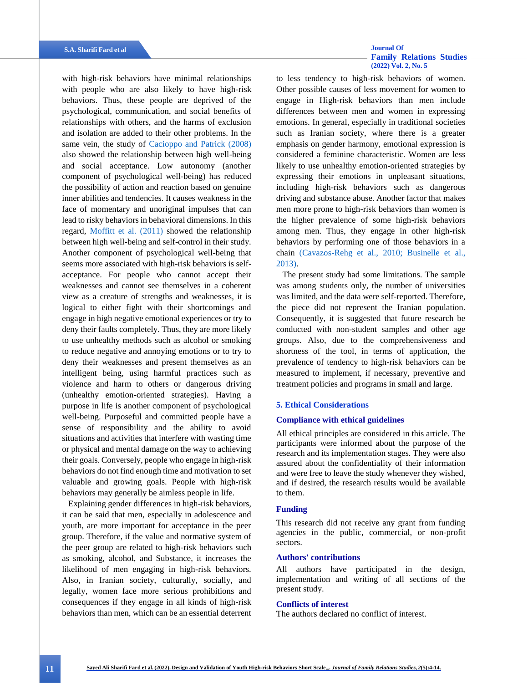<span id="page-7-2"></span><span id="page-7-0"></span>with high-risk behaviors have minimal relationships with people who are also likely to have high-risk behaviors. Thus, these people are deprived of the psychological, communication, and social benefits of relationships with others, and the harms of exclusion and isolation are added to their other problems. In the same vein, the study of [Cacioppo and Patrick \(2008\)](#page-8-17) also showed the relationship between high well-being and social acceptance. Low autonomy (another component of psychological well-being) has reduced the possibility of action and reaction based on genuine inner abilities and tendencies. It causes weakness in the face of momentary and unoriginal impulses that can lead to risky behaviors in behavioral dimensions. In this regard, [Moffitt et al. \(2011\)](#page-9-19) showed the relationship between high well-being and self-control in their study. Another component of psychological well-being that seems more associated with high-risk behaviors is selfacceptance. For people who cannot accept their weaknesses and cannot see themselves in a coherent view as a creature of strengths and weaknesses, it is logical to either fight with their shortcomings and engage in high negative emotional experiences or try to deny their faults completely. Thus, they are more likely to use unhealthy methods such as alcohol or smoking to reduce negative and annoying emotions or to try to deny their weaknesses and present themselves as an intelligent being, using harmful practices such as violence and harm to others or dangerous driving (unhealthy emotion-oriented strategies). Having a purpose in life is another component of psychological well-being. Purposeful and committed people have a sense of responsibility and the ability to avoid situations and activities that interfere with wasting time or physical and mental damage on the way to achieving their goals. Conversely, people who engage in high-risk behaviors do not find enough time and motivation to set valuable and growing goals. People with high-risk behaviors may generally be aimless people in life.

Explaining gender differences in high-risk behaviors, it can be said that men, especially in adolescence and youth, are more important for acceptance in the peer group. Therefore, if the value and normative system of the peer group are related to high-risk behaviors such as smoking, alcohol, and Substance, it increases the likelihood of men engaging in high-risk behaviors. Also, in Iranian society, culturally, socially, and legally, women face more serious prohibitions and consequences if they engage in all kinds of high-risk behaviors than men, which can be an essential deterrent

# **[Family Relations Studies](http://jhrs.uma.ac.ir/)  [\(2022\) Vol. 2, No. 5](http://jhrs.uma.ac.ir/)**

to less tendency to high-risk behaviors of women. Other possible causes of less movement for women to engage in High-risk behaviors than men include differences between men and women in expressing emotions. In general, especially in traditional societies such as Iranian society, where there is a greater emphasis on gender harmony, emotional expression is considered a feminine characteristic. Women are less likely to use unhealthy emotion-oriented strategies by expressing their emotions in unpleasant situations, including high-risk behaviors such as dangerous driving and substance abuse. Another factor that makes men more prone to high-risk behaviors than women is the higher prevalence of some high-risk behaviors among men. Thus, they engage in other high-risk behaviors by performing one of those behaviors in a chain [\(Cavazos-Rehg et al., 2010;](#page-8-18) [Businelle et al.,](#page-8-4)  [2013\).](#page-8-4)

<span id="page-7-1"></span>The present study had some limitations. The sample was among students only, the number of universities was limited, and the data were self-reported. Therefore, the piece did not represent the Iranian population. Consequently, it is suggested that future research be conducted with non-student samples and other age groups. Also, due to the comprehensiveness and shortness of the tool, in terms of application, the prevalence of tendency to high-risk behaviors can be measured to implement, if necessary, preventive and treatment policies and programs in small and large.

## **5. Ethical Considerations**

## **Compliance with ethical guidelines**

All ethical principles are considered in this article. The participants were informed about the purpose of the research and its implementation stages. They were also assured about the confidentiality of their information and were free to leave the study whenever they wished, and if desired, the research results would be available to them.

### **Funding**

This research did not receive any grant from funding agencies in the public, commercial, or non-profit sectors.

## **Authors' contributions**

All authors have participated in the design, implementation and writing of all sections of the present study.

## **Conflicts of interest**

The authors declared no conflict of interest.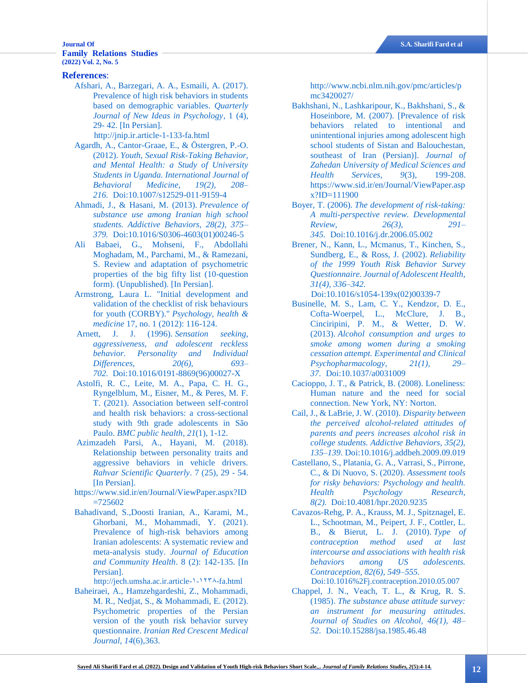## **[Journal Of](http://jhrs.uma.ac.ir/) S.A. Sharifi Fard et al [Family Relations Studies](http://jhrs.uma.ac.ir/)  [\(2022\) Vol. 2, No. 5](http://jhrs.uma.ac.ir/)**

## **References**:

- <span id="page-8-15"></span>[Afshari, A., Barzegari, A. A., Esmaili, A. \(2017\).](#page-6-0)  [Prevalence of high risk behaviors in students](#page-6-0)  [based on demographic variables.](#page-6-0) *Quarterly [Journal of New Ideas in Psychology](#page-6-0)*, 1 (4), 29- [42. \[In Persian\].](#page-6-0)  [http://jnip.ir.article-1-133-fa.html](http://jnip.ir.article-1-133-fa.html/)
- <span id="page-8-13"></span>[Agardh, A., Cantor-Graae, E., & Östergren, P.-O.](#page-6-1)  (2012). *[Youth, Sexual Risk-Taking Behavior,](#page-6-1)  [and Mental Health: a Study of University](#page-6-1)  [Students in Uganda. International Journal of](#page-6-1)  [Behavioral Medicine, 19\(2\), 208–](#page-6-1) [216.](#page-6-1)* [Doi:10.1007/s12529-011-9159-4](https://doi.org/10.1007/s12529-011-9159-4)
- <span id="page-8-1"></span>[Ahmadi, J., & Hasani, M. \(2013\).](#page-1-0) *Prevalence of [substance use among Iranian high school](#page-1-0)  [students. Addictive Behaviors, 28\(2\), 375–](#page-1-0) [379.](#page-1-0)* [Doi:10.1016/S0306-4603\(01\)00246-5](https://doi.org/10.1016/S0306-4603(01)00246-5)
- <span id="page-8-11"></span>[Ali Babaei, G., Mohseni, F., Abdollahi](#page-2-0)  [Moghadam, M., Parchami, M., & Ramezani,](#page-2-0)  [S. Review and adaptation of psychometric](#page-2-0)  [properties of the big fifty list \(10-question](#page-2-0)  [form\). \(Unpublished\). \[In Persian\].](#page-2-0)
- <span id="page-8-10"></span>[Armstrong, Laura L. "Initial development and](#page-1-1)  [validation of the checklist of risk behaviours](#page-1-1)  for youth (CORBY)." *[Psychology, health &](#page-1-1)  medicine* [17, no. 1 \(2012\): 116-124.](#page-1-1)
- <span id="page-8-6"></span>[Arnett, J. J. \(1996\).](#page-1-2) *Sensation seeking, [aggressiveness, and adolescent reckless](#page-1-2)  [behavior. Personality and Individual](#page-1-2)  [Differences, 20\(6\), 693–](#page-1-2) [702.](#page-1-2)* [Doi:10.1016/0191-8869\(96\)00027-X](https://doi.org/10.1016/0191-8869(96)00027-X)
- <span id="page-8-3"></span>[Astolfi, R. C., Leite, M. A., Papa, C. H. G.,](#page-1-3)  [Ryngelblum, M., Eisner, M., & Peres, M. F.](#page-1-3)  [T. \(2021\). Association between self-control](#page-1-3)  and [health risk behaviors: a cross-sectional](#page-1-3)  [study with 9th grade adolescents in São](#page-1-3)  Paulo. *[BMC public health](#page-1-3)*, *21*(1), 1-12.
- <span id="page-8-12"></span>[Azimzadeh Parsi, A., Hayani, M.](#page-6-2) (2018). [Relationship between personality traits and](#page-6-2)  [aggressive behaviors in vehicle drivers.](#page-6-2)  *[Rahvar Scientific Quarterly](#page-6-2)*. 7 (25), 29 - 54. [\[In Persian\].](#page-6-2)
- <span id="page-8-2"></span>[https://www.sid.ir/en/Journal/ViewPaper.aspx?ID](https://www.sid.ir/en/Journal/ViewPaper.aspx?ID=725602) [=725602](https://www.sid.ir/en/Journal/ViewPaper.aspx?ID=725602)
- [Bahadivand, S.,Doosti Iranian, A., Karami, M.,](#page-1-4)  [Ghorbani, M., Mohammadi, Y. \(2021\).](#page-1-4)  [Prevalence of high-risk behaviors among](#page-1-4)  [Iranian adolescents: A systematic review and](#page-1-4)  [meta-analysis study.](#page-1-4) *Journal of Education [and Community Health](#page-1-4)*. 8 (2): 142-135. [In [Persian\].](#page-1-4)

[http://jech.umsha.ac.ir.article-۱-۱۲۳۸-fa.html](http://jech.umsha.ac.ir.article-۱-۱۲۳۸-fa.html/)

<span id="page-8-9"></span>[Baheiraei, A., Hamzehgardeshi, Z., Mohammadi,](#page-1-5) [M. R., Nedjat, S., & Mohammadi, E. \(2012\).](#page-1-5)  [Psychometric properties of the Persian](#page-1-5)  [version of the youth risk behavior survey](#page-1-5)  questionnaire. *[Iranian Red Crescent Medical](#page-1-5)  Journal*, *14*[\(6\),363.](#page-1-5)

[http://www.ncbi.nlm.nih.gov/pmc/articles/p](http://www.ncbi.nlm.nih.gov/pmc/articles/pmc3420027/) [mc3420027/](http://www.ncbi.nlm.nih.gov/pmc/articles/pmc3420027/)

- <span id="page-8-8"></span>[Bakhshani, N., Lashkaripour, K., Bakhshani, S., &](#page-1-6)  [Hoseinbore, M. \(2007\). \[Prevalence of risk](#page-1-6)  [behaviors related to intentional and](#page-1-6)  [unintentional injuries among adolescent high](#page-1-6)  [school students of Sistan and Balouchestan,](#page-1-6)  [southeast of Iran \(Persian\)\].](#page-1-6) *Journal of Zahedan [University of Medical Sciences and](#page-1-6)  [Health Services, 9](#page-1-6)*(3), 199-208. [https://www.sid.ir/en/Journal/ViewPaper.asp](https://www.sid.ir/en/Journal/ViewPaper.aspx?ID=111900) [x?ID=111900](https://www.sid.ir/en/Journal/ViewPaper.aspx?ID=111900)
- <span id="page-8-0"></span>Boyer, T. (2006). *[The development of risk-taking:](#page-0-0)  [A multi-perspective review. Developmental](#page-0-0)  [Review, 26\(3\), 291–](#page-0-0) [345.](#page-0-0)* [Doi:10.1016/j.dr.2006.05.002](https://doi.org/10.1016/j.dr.2006.05.002)
- <span id="page-8-7"></span>[Brener, N., Kann, L., Mcmanus, T., Kinchen, S.,](#page-1-7)  [Sundberg, E., & Ross, J. \(2002\).](#page-1-7) *Reliability [of the 1999 Youth Risk Behavior Survey](#page-1-7)  [Questionnaire. Journal of Adolescent Health,](#page-1-7)  [31\(4\), 336–342.](#page-1-7)*
	- [Doi:10.1016/s1054-139x\(02\)00339-7](https://doi.org/10.1016/s1054-139x(02)00339-7)
- <span id="page-8-4"></span>[Businelle, M. S., Lam, C. Y., Kendzor, D. E.,](#page-1-8)  [Cofta-Woerpel, L., McClure, J. B.,](#page-1-8)  [Cinciripini, P. M., & Wetter, D. W.](#page-1-8)  (2013). *[Alcohol consumption and urges to](#page-1-8)  [smoke among women during a smoking](#page-1-8)  [cessation attempt. Experimental and Clinical](#page-1-8)  [Psychopharmacology, 21\(1\), 29–](#page-1-8) [37.](#page-1-8)* [Doi:10.1037/a0031009](https://doi.org/10.1037/a0031009)
- <span id="page-8-17"></span>[Cacioppo, J. T., & Patrick, B. \(2008\). Loneliness:](#page-7-0)  [Human nature and the need for social](#page-7-0)  [connection. New York, NY:](#page-7-0) Norton.
- <span id="page-8-14"></span>[Cail, J., & LaBrie, J. W. \(2010\).](#page-6-3) *Disparity between [the perceived alcohol-related attitudes of](#page-6-3)  [parents and peers increases alcohol risk in](#page-6-3)  [college students. Addictive Behaviors, 35\(2\),](#page-6-3)  [135–139.](#page-6-3)* [Doi:10.1016/j.addbeh.2009.09.019](#page-6-3)
- <span id="page-8-16"></span>[Castellano, S., Platania, G. A., Varrasi, S., Pirrone,](#page-6-4)  [C., & Di Nuovo, S. \(2020\).](#page-6-4) *Assessment tools [for risky behaviors: Psychology and health.](#page-6-4)  [Health Psychology Research,](#page-6-4)  [8\(2\).](#page-6-4)* [Doi:10.4081/hpr.2020.9235](https://doi.org/10.4081/hpr.2020.9235)
- <span id="page-8-18"></span>[Cavazos-Rehg, P. A., Krauss, M. J., Spitznagel, E.](#page-7-1)  [L., Schootman, M., Peipert, J. F., Cottler, L.](#page-7-1)  [B., & Bierut, L. J. \(2010\).](#page-7-1) *Type of [contraception method used at last](#page-7-1)  [intercourse and associations with health risk](#page-7-1)  [behaviors among US adolescents.](#page-7-1)  [Contraception, 82\(6\), 549–555.](#page-7-1)* [Doi:10.1016%2Fj.contraception.2010.05.007](https://doi.org/10.1016%2Fj.contraception.2010.05.007)
- <span id="page-8-5"></span>[Chappel, J. N., Veach, T. L., & Krug, R. S.](#page-1-9)  (1985). *[The substance abuse attitude survey:](#page-1-9)  [an instrument for measuring attitudes.](#page-1-9)  [Journal of Studies on Alcohol, 46\(1\), 48–](#page-1-9) [52.](#page-1-9)* [Doi:10.15288/jsa.1985.46.48](https://doi.org/10.15288/jsa.1985.46.48)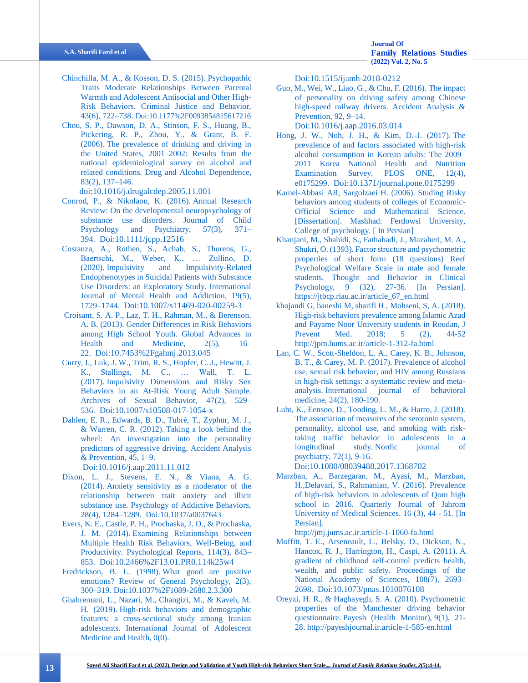- <span id="page-9-0"></span>[Chinchilla, M. A., & Kosson, D. S. \(2015\).](#page-0-1) Psychopathic [Traits Moderate Relationships Between Parental](#page-0-1)  [Warmth and Adolescent Antisocial and Other High-](#page-0-1)[Risk Behaviors. Criminal Justice and Behavior,](#page-0-1)  [43\(6\), 722–738.](#page-0-1) [Doi:10.1177%2F0093854815617216](#page-0-1)
- <span id="page-9-13"></span>[Chou, S. P., Dawson, D. A., Stinson, F. S., Huang, B.,](#page-6-5)  [Pickering, R. P., Zhou, Y., & Grant, B. F.](#page-6-5)  (2006). [The prevalence of drinking and driving in](#page-6-5)  [the United States, 2001–2002: Results from the](#page-6-5)  [national epidemiological survey on alcohol and](#page-6-5)  [related conditions. Drug and Alcohol Dependence,](#page-6-5)  [83\(2\), 137–146.](#page-6-5)

[doi:10.1016/j.drugalcdep.2005.11.001](https://psycnet.apa.org/doi/10.1016/j.drugalcdep.2005.11.001)

- <span id="page-9-18"></span>[Conrod, P., & Nikolaou, K. \(2016\).](#page-6-6) Annual Research [Review: On the developmental neuropsychology of](#page-6-6)  [substance use disorders. Journal of Child](#page-6-6)  [Psychology and Psychiatry, 57\(3\), 371–](#page-6-6) [394.](#page-6-6) [Doi:10.1111/jcpp.12516](https://doi.org/10.1111/jcpp.12516)
- <span id="page-9-6"></span>[Costanza, A., Rothen, S., Achab, S., Thorens, G.,](#page-1-10)  [Baertschi, M., Weber, K., … Zullino, D.](#page-1-10)  (2020). [Impulsivity and Impulsivity-Related](#page-1-10)  [Endophenotypes in Suicidal Patients with Substance](#page-1-10)  [Use Disorders: an Exploratory Study. International](#page-1-10)  [Journal of Mental Health and Addiction, 19\(5\),](#page-1-10)  [1729–1744.](#page-1-10) [Doi:10.1007/s11469-020-00259-3](https://psycnet.apa.org/doi/10.1007/s11469-020-00259-3)
- <span id="page-9-14"></span>[Croisant, S. A. P., Laz, T. H., Rahman, M., & Berenson,](#page-6-7)  A. B. (2013). [Gender Differences in Risk Behaviors](#page-6-7)  [among High School Youth. Global Advances in](#page-6-7)  Health and Medicine,  $2(5)$ , 16– [22.](#page-6-7) [Doi:10.7453%2Fgahmj.2013.045](https://doi.org/10.7453%2Fgahmj.2013.045)
- <span id="page-9-5"></span>[Curry, I., Luk, J. W., Trim, R. S., Hopfer, C. J., Hewitt, J.](#page-1-11)  [K., Stallings, M. C., … Wall, T. L.](#page-1-11)  (2017). [Impulsivity Dimensions and Risky Sex](#page-1-11)  [Behaviors in an At-Risk Young Adult Sample.](#page-1-11)  [Archives of Sexual Behavior, 47\(2\), 529–](#page-1-11) [536.](#page-1-11) [Doi:10.1007/s10508-017-1054-x](https://doi.org/10.1007/s10508-017-1054-x)
- <span id="page-9-10"></span>[Dahlen, E. R., Edwards, B. D., Tubré, T., Zyphur, M. J.,](#page-6-8)  & Warren, C. R. (2012). [Taking a look behind the](#page-6-8)  [wheel: An investigation into the personality](#page-6-8)  [predictors of aggressive driving. Accident Analysis](#page-6-8)  [& Prevention, 45, 1–9.](#page-6-8)

<span id="page-9-17"></span>[Doi:10.1016/j.aap.2011.11.012](https://doi.org/10.1016/j.aap.2011.11.012)

- [Dixon, L. J., Stevens, E. N., & Viana, A. G.](#page-6-9)  (2014). [Anxiety sensitivity as a moderator of the](#page-6-9)  [relationship between trait anxiety and illicit](#page-6-9)  [substance use. Psychology of Addictive Behaviors,](#page-6-9)  [28\(4\), 1284–1289.](#page-6-9) [Doi:10.1037/a0037643](https://doi.org/10.1037/a0037643)
- <span id="page-9-12"></span>[Evers, K. E., Castle, P. H., Prochaska, J. O., & Prochaska,](#page-6-10)  J. M. (2014). [Examining Relationships between](#page-6-10)  [Multiple Health Risk Behaviors, Well-Being, and](#page-6-10)  [Productivity. Psychological Reports, 114\(3\), 843–](#page-6-10) [853.](#page-6-10) [Doi:10.2466%2F13.01.PR0.114k25w4](https://doi.org/10.2466%2F13.01.PR0.114k25w4)
- Fredrickson, B. L. (1998). What good are positive emotions? Review of General Psychology, 2(3), 300–319. [Doi:10.1037%2F1089-2680.2.3.300](https://doi.org/10.1037%2F1089-2680.2.3.300)
- <span id="page-9-16"></span>[Ghahremani, L., Nazari, M., Changizi, M., & Kaveh, M.](#page-6-11)  H. (2019). [High-risk behaviors and demographic](#page-6-11)  [features: a cross-sectional study among Iranian](#page-6-11)  [adolescents. International Journal of Adolescent](#page-6-11)  [Medicine and Health, 0\(0\).](#page-6-11)

[Doi:10.1515/ijamh-2018-0212](https://doi.org/10.1515/ijamh-2018-0212)

<span id="page-9-11"></span>[Guo, M., Wei, W., Liao, G., & Chu, F. \(2016\).](#page-6-12) The impact [of personality on driving safety among Chinese](#page-6-12)  [high-speed railway drivers. Accident Analysis &](#page-6-12)  [Prevention, 92, 9–14.](#page-6-12) [Doi:10.1016/j.aap.2016.03.014](https://doi.org/10.1016/j.aap.2016.03.014)

<span id="page-9-2"></span>[Hong, J. W., Noh, J. H., & Kim, D.-J. \(2017\).](#page-1-12) The [prevalence of and factors associated with high-risk](#page-1-12)  [alcohol consumption in Korean adults: The 2009–](#page-1-12) [2011 Korea National Health and Nutrition](#page-1-12)  Examination Survey. PLOS ONE, 12(4), [e0175299.](#page-1-12) [Doi:10.1371/journal.pone.0175299](https://doi.org/10.1371/journal.pone.0175299)

- <span id="page-9-8"></span>[Kamel-Abbasi AR, Sargolzaei H. \(2006\). Studing](#page-1-13) Risky [behaviors among students of colleges of Economic-](#page-1-13)[Official Science and Mathematical Science.](#page-1-13)  [\[Dissertation\]. Mashhad: Ferdowsi University,](#page-1-13)  [College of psychology. \[](#page-1-13) In Persian]
- <span id="page-9-9"></span>[Khanjani, M., Shahidi, S., Fathabadi, J., Mazaheri, M. A.,](#page-2-1)  [Shukri, O. \(1393\). Factor structure and psychometric](#page-2-1)  [properties of short form \(18 questions\) Reef](#page-2-1)  [Psychological Welfare Scale in male and female](#page-2-1)  [students. Thought and Behavior in Clinical](#page-2-1)  [Psychology, 9 \(32\), 27-36. \[In Persian\].](#page-2-1)  [https://jtbcp.riau.ac.ir/article\\_67\\_en.html](https://jtbcp.riau.ac.ir/article_67_en.html)
- <span id="page-9-4"></span>[khojandi G, baneshi M, sharifi H., Mohseni, S, A. \(2018\).](#page-1-14)  [High-risk behaviors prevalence among Islamic Azad](#page-1-14)  [and Payame Noor University students in Roudan, J](#page-1-14)  [Prevent Med. 2018; 5 \(2\), 44-52](#page-1-14) <http://jpm.hums.ac.ir/article-1-312-fa.html>
- <span id="page-9-1"></span>[Lan, C. W., Scott-Sheldon, L. A., Carey, K. B., Johnson,](#page-1-15)  [B. T., & Carey, M. P. \(2017\). Prevalence of alcohol](#page-1-15)  [use, sexual risk behavior, and HIV among Russians](#page-1-15)  [in high-risk settings: a systematic review and meta](#page-1-15)analysis. [International journal of behavioral](#page-1-15)  medicine, [24\(2\), 180-190.](#page-1-15)
- <span id="page-9-15"></span>[Luht, K., Eensoo, D., Tooding, L. M., & Harro, J. \(2018\).](#page-6-13)  [The association of measures of the serotonin system,](#page-6-13)  [personality, alcohol use, and smoking with risk](#page-6-13)[taking traffic behavior in adolescents in a](#page-6-13)  longitudinal study. [Nordic journal of](#page-6-13)  psychiatry, [72\(1\), 9-16.](#page-6-13)

[Doi:10.1080/08039488.2017.1368702](https://doi.org/10.1080/08039488.2017.1368702)

<span id="page-9-3"></span>[Marzban, A., Barzegaran, M., Ayasi, M., Marzban,](#page-1-16)  [H.,Delavari, S., Rahmanian, V. \(2016\). Prevalence](#page-1-16)  [of high-risk behaviors in adolescents of Qom high](#page-1-16)  [school in 2016. Quarterly Journal of Jahrom](#page-1-16)  [University of Medical Sciences. 16 \(3\), 44 -](#page-1-16) 51. [In [Persian\].](#page-1-16) 

[http://jmj.jums.ac.ir.article-1-1060-fa.html](http://jmj.jums.ac.ir.article-1-1060-fa.html/)

- <span id="page-9-19"></span>[Moffitt, T. E., Arseneault, L., Belsky, D., Dickson, N.,](#page-7-2)  [Hancox, R. J., Harrington, H., Caspi, A. \(2011\).](#page-7-2) A [gradient of childhood self-control predicts health,](#page-7-2)  [wealth, and public safety. Proceedings of the](#page-7-2)  [National Academy of Sciences, 108\(7\), 2693–](#page-7-2) [2698.](#page-7-2) [Doi:10.1073/pnas.1010076108](https://doi.org/10.1073/pnas.1010076108)
- <span id="page-9-7"></span>[Oreyzi, H. R., & Haghayegh, S. A. \(2010\). Psychometric](#page-1-17)  [properties of the Manchester driving behavior](#page-1-17)  questionnaire. [Payesh \(Health Monitor\),](#page-1-17) 9(1), 21- [28.](#page-1-17) [http://payeshjournal.ir.article-1-585-en.html](http://payeshjournal.ir.article-1-585-en.html/)